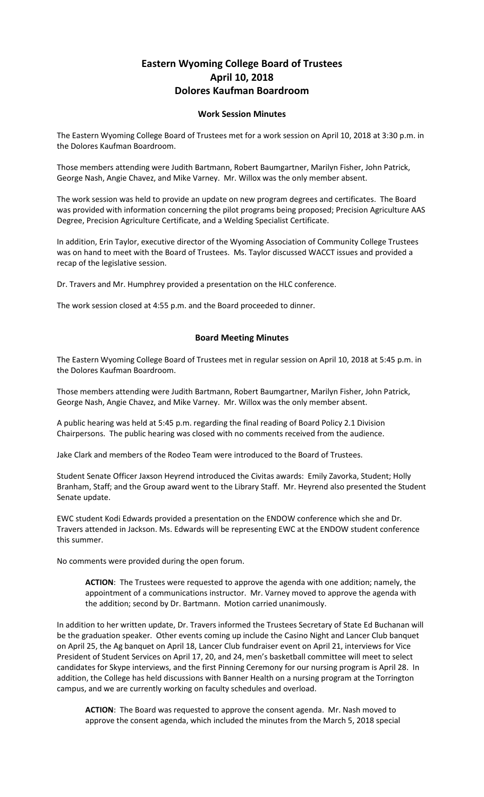## **Eastern Wyoming College Board of Trustees April 10, 2018 Dolores Kaufman Boardroom**

## **Work Session Minutes**

The Eastern Wyoming College Board of Trustees met for a work session on April 10, 2018 at 3:30 p.m. in the Dolores Kaufman Boardroom.

Those members attending were Judith Bartmann, Robert Baumgartner, Marilyn Fisher, John Patrick, George Nash, Angie Chavez, and Mike Varney. Mr. Willox was the only member absent.

The work session was held to provide an update on new program degrees and certificates. The Board was provided with information concerning the pilot programs being proposed; Precision Agriculture AAS Degree, Precision Agriculture Certificate, and a Welding Specialist Certificate.

In addition, Erin Taylor, executive director of the Wyoming Association of Community College Trustees was on hand to meet with the Board of Trustees. Ms. Taylor discussed WACCT issues and provided a recap of the legislative session.

Dr. Travers and Mr. Humphrey provided a presentation on the HLC conference.

The work session closed at 4:55 p.m. and the Board proceeded to dinner.

## **Board Meeting Minutes**

The Eastern Wyoming College Board of Trustees met in regular session on April 10, 2018 at 5:45 p.m. in the Dolores Kaufman Boardroom.

Those members attending were Judith Bartmann, Robert Baumgartner, Marilyn Fisher, John Patrick, George Nash, Angie Chavez, and Mike Varney. Mr. Willox was the only member absent.

A public hearing was held at 5:45 p.m. regarding the final reading of Board Policy 2.1 Division Chairpersons. The public hearing was closed with no comments received from the audience.

Jake Clark and members of the Rodeo Team were introduced to the Board of Trustees.

Student Senate Officer Jaxson Heyrend introduced the Civitas awards: Emily Zavorka, Student; Holly Branham, Staff; and the Group award went to the Library Staff. Mr. Heyrend also presented the Student Senate update.

EWC student Kodi Edwards provided a presentation on the ENDOW conference which she and Dr. Travers attended in Jackson. Ms. Edwards will be representing EWC at the ENDOW student conference this summer.

No comments were provided during the open forum.

**ACTION**: The Trustees were requested to approve the agenda with one addition; namely, the appointment of a communications instructor. Mr. Varney moved to approve the agenda with the addition; second by Dr. Bartmann. Motion carried unanimously.

In addition to her written update, Dr. Travers informed the Trustees Secretary of State Ed Buchanan will be the graduation speaker. Other events coming up include the Casino Night and Lancer Club banquet on April 25, the Ag banquet on April 18, Lancer Club fundraiser event on April 21, interviews for Vice President of Student Services on April 17, 20, and 24, men's basketball committee will meet to select candidates for Skype interviews, and the first Pinning Ceremony for our nursing program is April 28. In addition, the College has held discussions with Banner Health on a nursing program at the Torrington campus, and we are currently working on faculty schedules and overload.

**ACTION**: The Board was requested to approve the consent agenda. Mr. Nash moved to approve the consent agenda, which included the minutes from the March 5, 2018 special